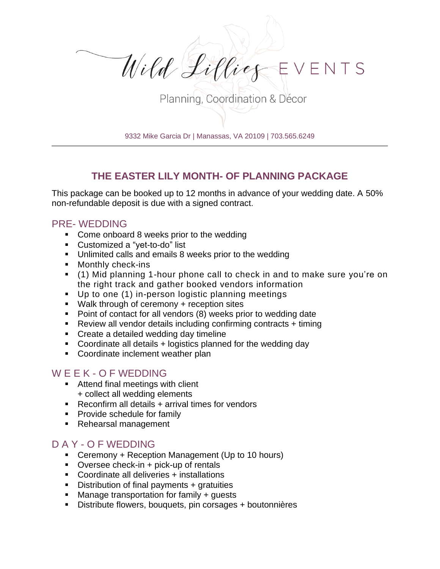Wild Lillies EVENTS

Planning, Coordination & Décor

9332 Mike Garcia Dr | Manassas, VA 20109 | 703.565.6249

## **THE EASTER LILY MONTH- OF PLANNING PACKAGE**

This package can be booked up to 12 months in advance of your wedding date. A 50% non-refundable deposit is due with a signed contract.

## PRE- WEDDING

- Come onboard 8 weeks prior to the wedding
- Customized a "yet-to-do" list
- Unlimited calls and emails 8 weeks prior to the wedding
- Monthly check-ins
- (1) Mid planning 1-hour phone call to check in and to make sure you're on the right track and gather booked vendors information
- Up to one (1) in-person logistic planning meetings
- Walk through of ceremony + reception sites
- Point of contact for all vendors (8) weeks prior to wedding date
- Review all vendor details including confirming contracts + timing
- Create a detailed wedding day timeline
- Coordinate all details + logistics planned for the wedding day
- Coordinate inclement weather plan

## W E E K - O F WEDDING

- Attend final meetings with client + collect all wedding elements
- Reconfirm all details + arrival times for vendors
- Provide schedule for family
- Rehearsal management

## D A Y - O F WEDDING

- Ceremony + Reception Management (Up to 10 hours)
- $\blacksquare$  Oversee check-in  $+$  pick-up of rentals
- Coordinate all deliveries + installations
- Distribution of final payments + gratuities
- Manage transportation for family + quests
- Distribute flowers, bouquets, pin corsages + boutonnières